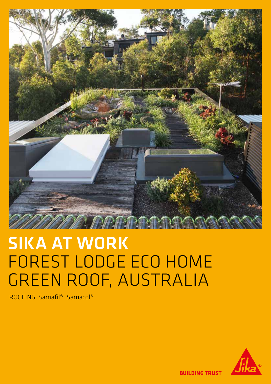

# SIKA AT WORK FOREST LODGE ECO HOME GREEN ROOF, AUSTRALIA

ROOFING: Sarnafil®, Sarnacol®



**BUILDING TRUST**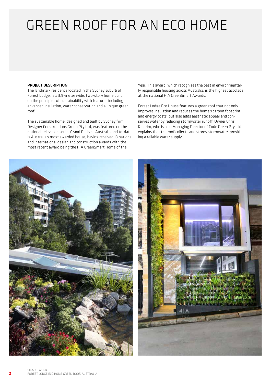## GREEN ROOF FOR AN ECO HOME

#### PROJECT DESCRIPTION

The landmark residence located in the Sydney suburb of Forest Lodge, is a 3.9-meter wide, two-story home built on the principles of sustainability with features including advanced insulation, water conservation and a unique green roof.

The sustainable home, designed and built by Sydney firm Designer Constructions Group Pty Ltd, was featured on the national television series Grand Designs Australia and to-date is Australia's most awarded house, having received 13 national and international design and construction awards with the most recent award being the HIA GreenSmart Home of the

Year. This award, which recognizes the best in environmentally responsible housing across Australia, is the highest accolade at the national HIA GreenSmart Awards.

Forest Lodge Eco House features a green roof that not only improves insulation and reduces the home's carbon footprint and energy costs, but also adds aesthetic appeal and conserves water by reducing stormwater runoff. Owner Chris Knierim, who is also Managing Director of Code Green Pty Ltd, explains that the roof collects and stores stormwater, providing a reliable water supply.

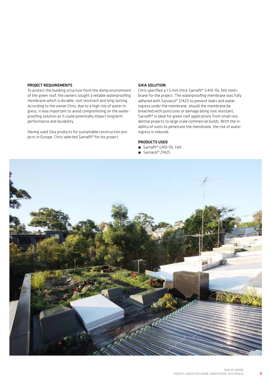#### PROJECT REQUIREMENTS

To protect the building structure from the damp environment of the green roof, the owners sought a reliable waterproofing membrane which is durable, root resistant and long-lasting. According to the owner Chris, due to a high risk of water ingress, it was important to avoid compromising on the waterproofing solution as it could potentially impact longterm performance and durability.

Having used Sika products for sustainable construction projects in Europe, Chris selected Sarnafil® for his project.

#### SIKA SOLUTION

Chris specified a 1.5 mm thick Sarnafil® G410-15L felt membrane for the project. The waterproofing membrane was fully adhered with Sarnacol® 2142S to prevent leaks and water ingress under the membrane, should the membrane be breached with punctures or damage being root resistant, Sarnafil® is ideal for green roof applications from small residential projects to large scale commercial builds. With the inability of roots to penetrate the membrane, the risk of water ingress is reduced.

#### PRODUCTS USED

- Sarnafil® G410-15L Felt
- Sarnacol® 2142S